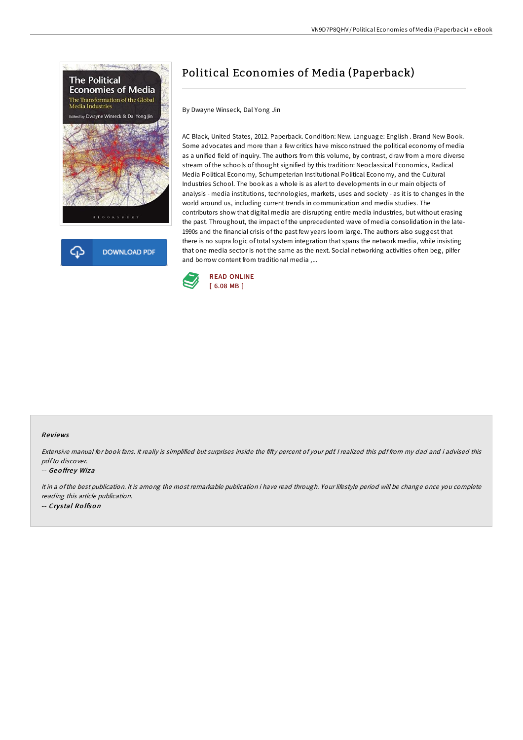



# Political Economies of Media (Paperback)

By Dwayne Winseck, Dal Yong Jin

AC Black, United States, 2012. Paperback. Condition: New. Language: English . Brand New Book. Some advocates and more than a few critics have misconstrued the political economy of media as a unified field of inquiry. The authors from this volume, by contrast, draw from a more diverse stream of the schools of thought signified by this tradition: Neoclassical Economics, Radical Media Political Economy, Schumpeterian Institutional Political Economy, and the Cultural Industries School. The book as a whole is as alert to developments in our main objects of analysis - media institutions, technologies, markets, uses and society - as it is to changes in the world around us, including current trends in communication and media studies. The contributors show that digital media are disrupting entire media industries, but without erasing the past. Throughout, the impact of the unprecedented wave of media consolidation in the late-1990s and the financial crisis of the past few years loom large. The authors also suggest that there is no supra logic of total system integration that spans the network media, while insisting that one media sector is not the same as the next. Social networking activities often beg, pilfer and borrow content from traditional media ,...



### Re views

Extensive manual for book fans. It really is simplified but surprises inside the fifty percent of your pdf. I realized this pdf from my dad and i advised this pdfto discover.

#### -- Geoffrey Wiza

It in <sup>a</sup> ofthe best publication. It is among the most remarkable publication i have read through. Your lifestyle period will be change once you complete reading this article publication. -- Crys tal Ro lfso <sup>n</sup>